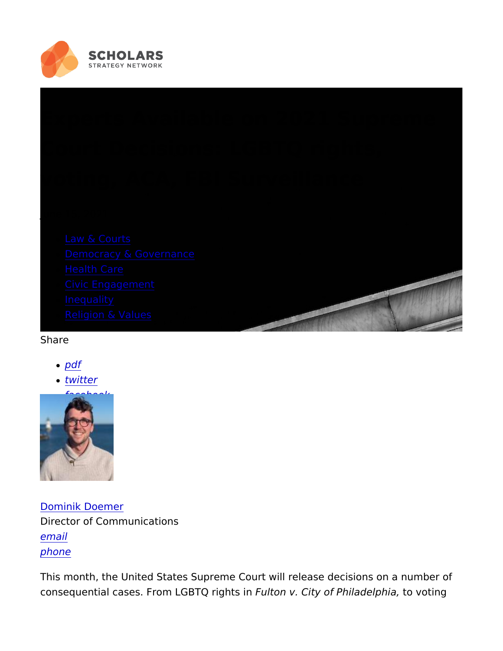# Experts Available on 2021 Supre Court Decisions: LGBTQ rights, voting, ACA, FBI Surveillance

June 15, 2021

- [Law & Co](https://scholars.org/policy-fields/law-courts)urts
- [Democracy & Gove](https://scholars.org/policy-fields/democracy-governance)rnance
- [Health C](https://scholars.org/policy-fields/health-care)are
- [Civic Engage](https://scholars.org/policy-fields/civic-engagement)ment
- [Inequa](https://scholars.org/policy-fields/inequality)lity
- [Religion & V](https://scholars.org/policy-fields/religion-values)alues
- Share
	- [pd](https://scholars.org/print/pdf/node/21642)f
	- [twitt](https://twitter.com/intent/tweet?text=Experts+Available+on+2021+Supreme+Court+Decisions:+LGBTQ+rights,+voting,+ACA,+FBI+Surveillance https://scholars.org/features/experts-available-2021-supreme-court-decisions)er
	- [facebo](https://www.facebook.com/sharer/sharer.php?u=https://scholars.org/features/experts-available-2021-supreme-court-decisions)ok

# [Dominik Doe](https://scholars.org/staff/dominik-doemer)mer Director of Communications [ema](mailto:dominik@scholarsstrategynetwork.org)il [phon](tel:617-301-2107)e

This month, the United States Supreme Court will release decisio consequential cases. From LGBFTuQtoong brts Cinty of Philand evlopthiniang,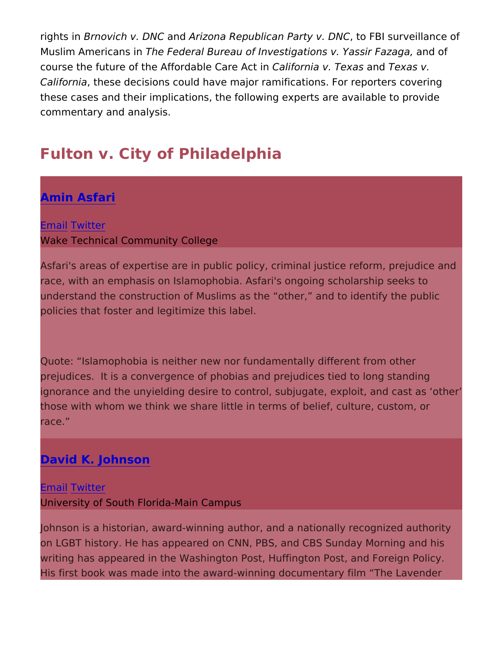rights Bonnovich v. DonNchQurizona Republican Party ov. FBDIN Surveillance Muslim AmericaThseinFederal Bureau of Investigations vanYdasosfir Faz course the future of the AffordableaD factor Act win Taex Taexas v. Californithese decisions could have major ramifications. For report these cases and their implications, the following experts are avail commentary and analysis.

# Fulton v. City of Philadelphia

## [Amin Asfa](https://scholars.org/scholar/amin-asfari)ri

#### **E**mail witter

Wake Technical Community College

Asfari's areas of expertise are in public policy, criminal justice r race, with an emphasis on Islamophobia. Asfari's ongoing scholar understand the construction of Muslims as the other, and to ide policies that foster and legitimize this label.

Quote: Islamophobia is neither new nor fundamentally different f prejudices. It is a convergence of phobias and prejudices tied to ignorance and the unyielding desire to control, subjugate, exploit those with whom we think we share little in terms of belief, culture race.

# [David K. John](https://scholars.org/scholar/david-johnson)son

**E**mail witter University of South Florida-Main Campus

Johnson is a historian, award-winning author, and a nationally re on LGBT history. He has appeared on CNN, PBS, and CBS Sunday writing has appeared in the Washington Post, Huffington Post, an His first book was made into the award-winning documentary film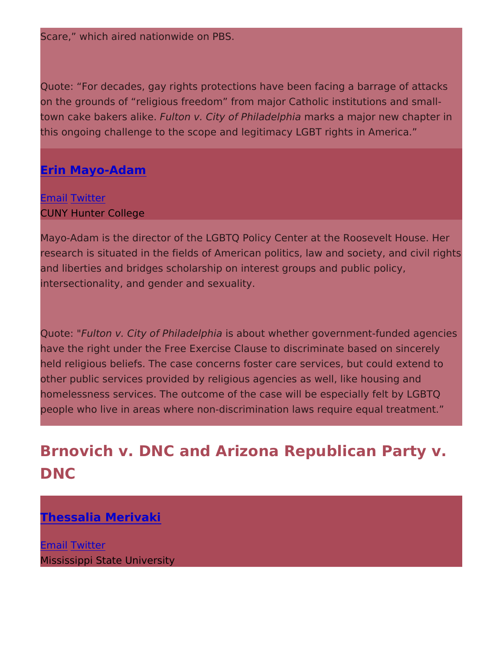Scare, which aired nationwide on PBS.

Quote: For decades, gay rights protections have been facing a bar on the grounds of religious freedom from major Catholic institut town cake bakers Faullithoen. v. City of Philma dae kpshaamajor new chapter this ongoing challenge to the scope and legitimacy LGBT rights in

#### [Erin Mayo-Ad](https://scholars.org/scholar/erin-mayo-adam)am

<u>[Ema](mailto:erin.mayo-adam@hunter.cuny.edu)i[Twitt](https://twitter.com/erinadam0)</u>er CUNY Hunter College

Mayo-Adam is the director of the LGBTQ Policy Center at the Roo research is situated in the fields of American politics, law and so and liberties and bridges scholarship on interest groups and publ intersectionality, and gender and sexuality.

QuoteFülton v. City of Philiasdelpohuita whether government-funded ag have the right under the Free Exercise Clause to discriminate based on since held religious beliefs. The case concerns foster care services, but other public services provided by religious agencies as well, like homelessness services. The outcome of the case will be especiall people who live in areas where non-discrimination laws require eq

# Brnovich v. DNC and Arizona Republican Pa DNC

### [Thessalia Meri](https://scholars.org/scholar/thessalia-merivaki)vaki

[Ema](mailto:lia.merivaki@pspa.msstate.edu)il witter Mississippi State University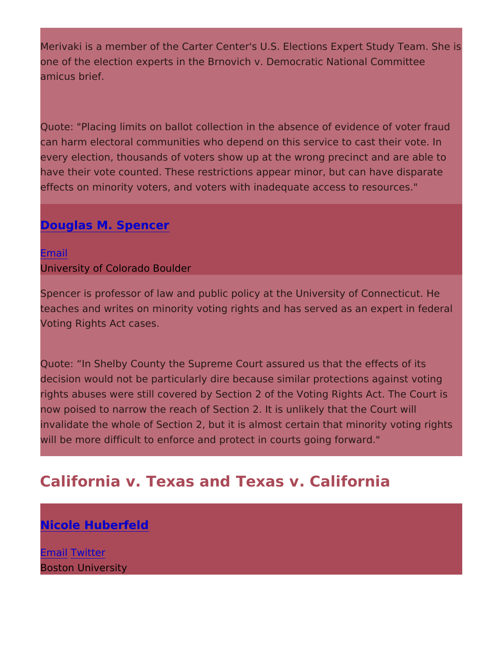Merivaki is a member of the Carter Center's U.S. Elections Expert one of the election experts in the Brnovich v. Democratic Nationa amicus brief.

Quote: "Placing limits on ballot collection in the absence of evide can harm electoral communities who depend on this service to cast every election, thousands of voters show up at the wrong precinct have their vote counted. These restrictions appear minor, but can effects on minority voters, and voters with inadequate access to

#### [Douglas M. Spen](https://scholars.org/regionalleader/douglas-spencer)cer

[Ema](mailto:douglas.spencer@colorado.edu)il University of Colorado Boulder

Spencer is professor of law and public policy at the University of teaches and writes on minority voting rights and has served as ar Voting Rights Act cases.

Quote: In Shelby County the Supreme Court assured us that the decision would not be particularly dire because similar protection rights abuses were still covered by Section 2 of the Voting Rights now poised to narrow the reach of Section 2. It is unlikely that th invalidate the whole of Section 2, but it is almost certain that min will be more difficult to enforce and protect in courts going forwa

# California v. Texas and Texas v. California

[Nicole Huberf](https://scholars.org/scholar/nicole-huberfeld)eld

**E**mail witter Boston University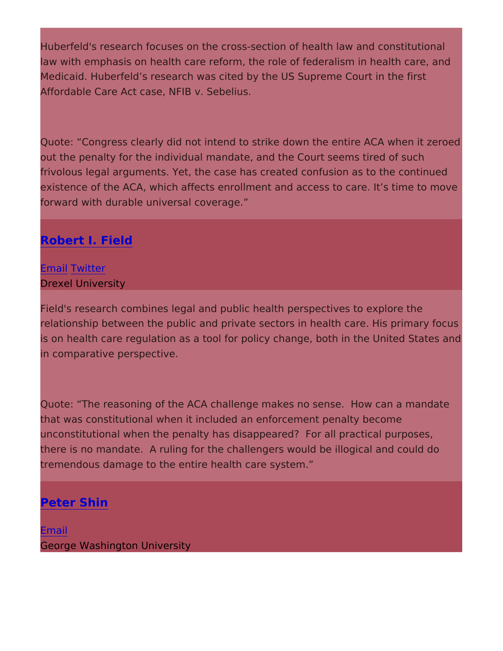Huberfeld's research focuses on the cross-section of health law a law with emphasis on health care reform, the role of federalism in Medicaid. Huberfeld s research was cited by the US Supreme Cou Affordable Care Act case, NFIB v. Sebelius.

Quote: Congress clearly did not intend to strike down the entire out the penalty for the individual mandate, and the Court seems t frivolous legal arguments. Yet, the case has created confusion as existence of the ACA, which affects enrollment and access to care forward with durable universal coverage.

# [Robert I. Fi](https://scholars.org/scholar/robert-field)eld

#### [Ema](mailto:robert.field@drexel.edu)il witter

Drexel University

Field's research combines legal and public health perspectives to relationship between the public and private sectors in health care is on health care regulation as a tool for policy change, both in t in comparative perspective.

Quote: The reasoning of the ACA challenge makes no sense. How that was constitutional when it included an enforcement penalty b unconstitutional when the penalty has disappeared? For all pract there is no mandate. A ruling for the challengers would be illogic tremendous damage to the entire health care system.

### [Peter Sh](https://scholars.org/scholar/peter-shin)in

[Ema](mailto:pshin@gwu.edu)il George Washington University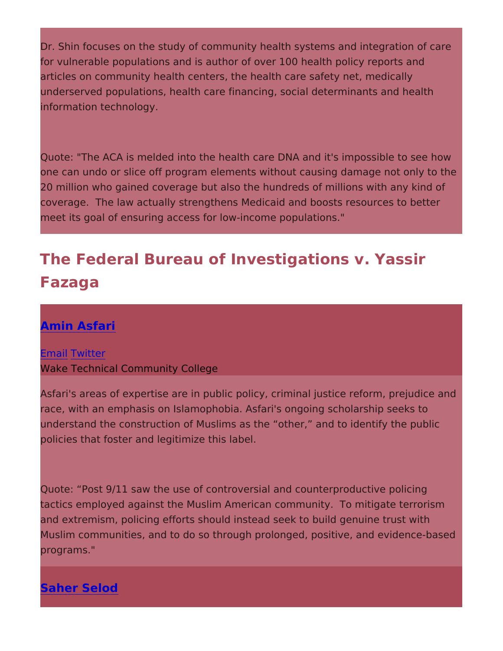Dr. Shin focuses on the study of community health systems and in for vulnerable populations and is author of over 100 health policy articles on community health centers, the health care safety net, underserved populations, health care financing, social determinar information technology.

Quote: "The ACA is melded into the health care DNA and it's impo one can undo or slice off program elements without causing dama 20 million who gained coverage but also the hundreds of millions coverage. The law actually strengthens Medicaid and boosts reso meet its goal of ensuring access for low-income populations."

The Federal Bureau of Investigations v. Yas Fazaga

### [Amin Asfa](https://scholars.org/scholar/amin-asfari)ri

**E**mail witter Wake Technical Community College

Asfari's areas of expertise are in public policy, criminal justice r race, with an emphasis on Islamophobia. Asfari's ongoing scholar understand the construction of Muslims as the other, and to ide policies that foster and legitimize this label.

Quote: Post 9/11 saw the use of controversial and counterproduc tactics employed against the Muslim American community. To mit and extremism, policing efforts should instead seek to build genu Muslim communities, and to do so through prolonged, positive, an programs."

[Saher Sel](https://scholars.org/scholar/saher-selod)od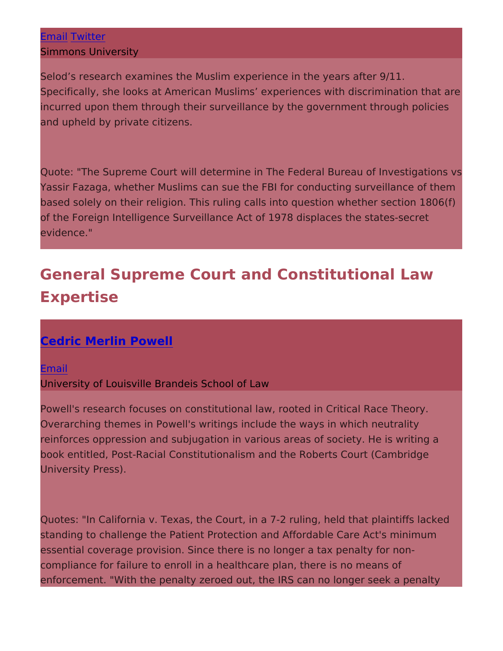#### [Ema](mailto:saher.selod@simmons.edu)il witter

Simmons University

Selod s research examines the Muslim experience in the years aft Specifically, she looks at American Muslims experiences with dis incurred upon them through their surveillance by the government and upheld by private citizens.

Quote: "The Supreme Court will determine in The Federal Bureau Yassir Fazaga, whether Muslims can sue the FBI for conducting s based solely on their religion. This ruling calls into question whe of the Foreign Intelligence Surveillance Act of 1978 displaces the evidence."

# General Supreme Court and Constitutional L Expertise

# [Cedric Merlin Po](https://scholars.org/scholar/cedric-powell)well

[Ema](mailto:c.merlin.powell@gmail.com)il University of Louisville Brandeis School of Law

Powell's research focuses on constitutional law, rooted in Critica Overarching themes in Powell's writings include the ways in which reinforces oppression and subjugation in various areas of society book entitled, Post-Racial Constitutionalism and the Roberts Cou University Press).

Quotes: "In California v. Texas, the Court, in a 7-2 ruling, held that standing to challenge the Patient Protection and Affordable Care essential coverage provision. Since there is no longer a tax pena compliance for failure to enroll in a healthcare plan, there is no enforcement. "With the penalty zeroed out, the IRS can no longer